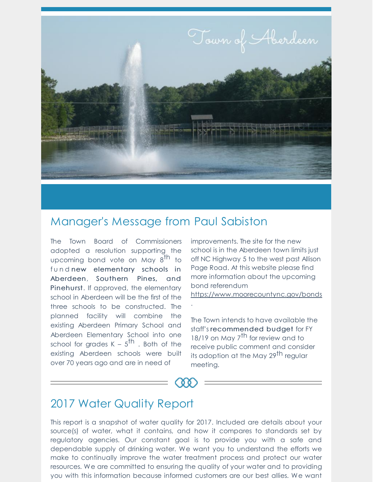

## Manager's Message from Paul Sabiston

The Town Board of Commissioners adopted a resolution supporting the upcoming bond vote on May 8<sup>th</sup> to fund new elementary schools in Aberdeen, Southern Pines, and Pinehurst. If approved, the elementary school in Aberdeen will be the first of the three schools to be constructed. The planned facility will combine the existing Aberdeen Primary School and Aberdeen Elementary School into one school for grades K –  $5^{\text{th}}$  . Both of the existing Aberdeen schools were built over 70 years ago and are in need of

improvements. The site for the new school is in the Aberdeen town limits just off NC Highway 5 to the west past Allison Page Road. At this website please find more information about the upcoming bond referendum

https://www.moorecountync.gov/bonds

The Town intends to have available the staff's recommended budget for FY 18/19 on May 7<sup>th</sup> for review and to receive public comment and consider its adoption at the May 29<sup>th</sup> regular meeting.



.

## 2017 Water Quality Report

This report is a snapshot of water quality for 2017. Included are details about your source(s) of water, what it contains, and how it compares to standards set by regulatory agencies. Our constant goal is to provide you with a safe and dependable supply of drinking water. We want you to understand the efforts we make to continually improve the water treatment process and protect our water resources. We are committed to ensuring the quality of your water and to providing you with this information because informed customers are our best allies. We want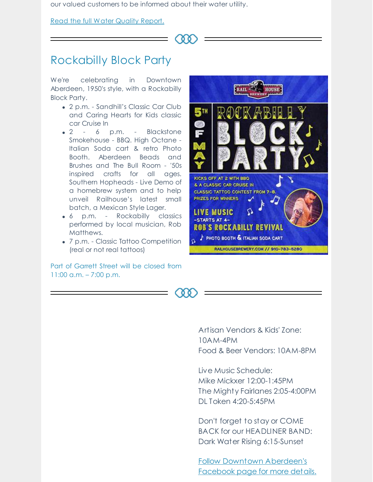our valued customers to be informed about their water utility.

Read the full Water Quality Report.



 $^{\circ}$ 

## Rockabilly Block Party

We're celebrating in Downtown Aberdeen, 1950's style, with a Rockabilly Block Party.

- 2 p.m. Sandhill's Classic Car Club and Caring Hearts for Kids classic car Cruise In
- 2 6 p.m. Blackstone Smokehouse - BBQ. High Octane - Italian Soda cart & retro Photo Booth. Aberdeen Beads and Brushes and The Bull Room - '50s inspired crafts for all ages. Southern Hopheads - Live Demo of a homebrew system and to help unveil Railhouse's latest small batch, a Mexican Style Lager.
- 6 p.m. Rockabilly classics performed by local musician, Rob Matthews.
- 7 p.m. Classic Tattoo Competition (real or not real tattoos)

Part of Garrett Street will be closed from 11:00 a.m. – 7:00 p.m.



Artisan Vendors & Kids' Zone: 10AM-4PM

Food & Beer Vendors: 10AM-8PM

Live Music Schedule: Mike Mickxer 12:00-1:45PM The Mighty Fairlanes 2:05-4:00PM DL Token 4:20-5:45PM

Don't forget to stay or COME BACK for our HEADLINER BAND: Dark Water Rising 6:15-Sunset

Follow Downtown Aberdeen's Facebook page for more details.